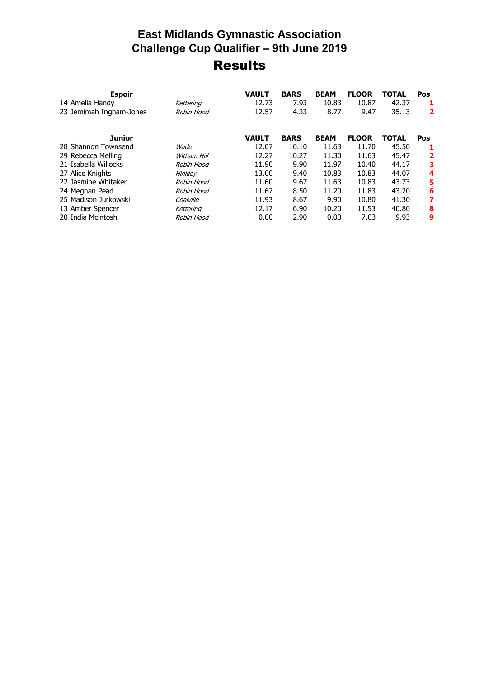## **East Midlands Gymnastic Association Challenge Cup Qualifier – 9th June 2019** Results

| <b>Espoir</b>           |             | <b>VAULT</b> | <b>BARS</b> | <b>BEAM</b> | <b>FLOOR</b> | <b>TOTAL</b> | Pos        |
|-------------------------|-------------|--------------|-------------|-------------|--------------|--------------|------------|
| 14 Amelia Handy         | Kettering   | 12.73        | 7.93        | 10.83       | 10.87        | 42.37        |            |
| 23 Jemimah Ingham-Jones | Robin Hood  | 12.57        | 4.33        | 8.77        | 9.47         | 35.13        | 2          |
| <b>Junior</b>           |             | <b>VAULT</b> | <b>BARS</b> | <b>BEAM</b> | <b>FLOOR</b> | <b>TOTAL</b> | <b>Pos</b> |
| 28 Shannon Townsend     | Wade        | 12.07        | 10.10       | 11.63       | 11.70        | 45.50        |            |
| 29 Rebecca Melling      | Witham Hill | 12.27        | 10.27       | 11.30       | 11.63        | 45.47        | 2          |
| 21 Isabella Willocks    | Robin Hood  | 11.90        | 9.90        | 11.97       | 10.40        | 44.17        | 3          |
| 27 Alice Knights        | Hinkley     | 13.00        | 9.40        | 10.83       | 10.83        | 44.07        | 4          |
| 22 Jasmine Whitaker     | Robin Hood  | 11.60        | 9.67        | 11.63       | 10.83        | 43.73        | 5          |
| 24 Meghan Pead          | Robin Hood  | 11.67        | 8.50        | 11.20       | 11.83        | 43.20        | 6          |
| 25 Madison Jurkowski    | Coalville   | 11.93        | 8.67        | 9.90        | 10.80        | 41.30        | 7          |
| 13 Amber Spencer        | Kettering   | 12.17        | 6.90        | 10.20       | 11.53        | 40.80        | 8          |
| 20 India Mcintosh       | Robin Hood  | 0.00         | 2.90        | 0.00        | 7.03         | 9.93         | 9          |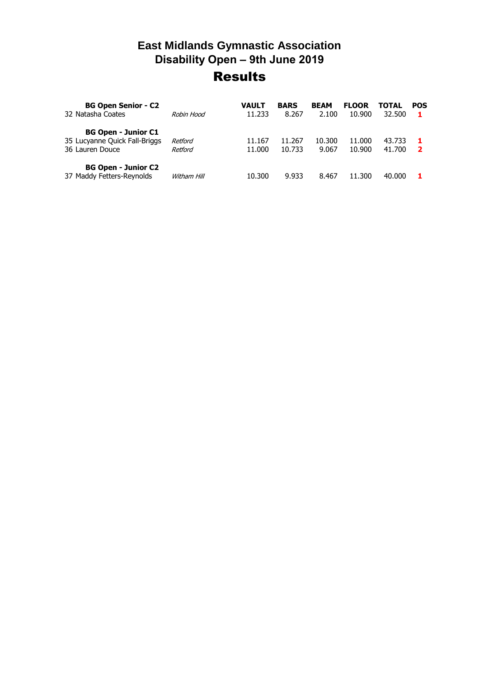## **East Midlands Gymnastic Association Disability Open – 9th June 2019** Results

| <b>BG Open Senior - C2</b><br>32 Natasha Coates                                | Rohin Hood         | VAULT<br>11.233  | <b>BARS</b><br>8.267 | <b>BEAM</b><br>2.100 | <b>FLOOR</b><br>10.900 | TOTAL<br>32.500  | <b>POS</b> |
|--------------------------------------------------------------------------------|--------------------|------------------|----------------------|----------------------|------------------------|------------------|------------|
| <b>BG Open - Junior C1</b><br>35 Lucyanne Quick Fall-Briggs<br>36 Lauren Douce | Retford<br>Retford | 11.167<br>11.000 | 11.267<br>10.733     | 10.300<br>9.067      | 11.000<br>10.900       | 43.733<br>41.700 | 2          |
| <b>BG Open - Junior C2</b><br>37 Maddy Fetters-Reynolds                        | Witham Hill        | 10.300           | 9.933                | 8.467                | 11.300                 | 40.000           |            |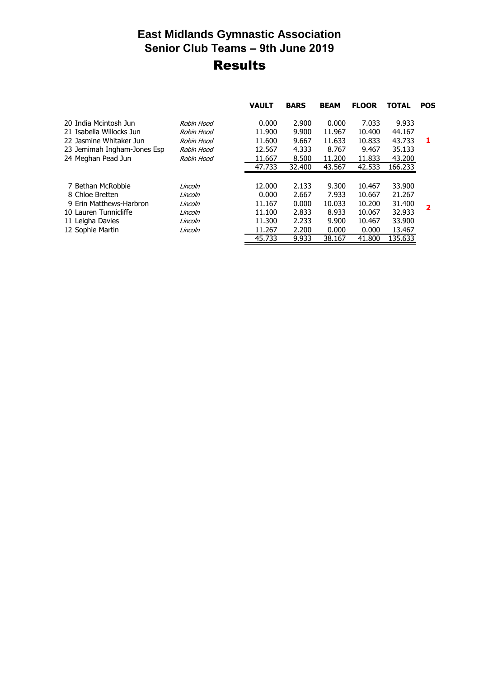## **East Midlands Gymnastic Association Senior Club Teams – 9th June 2019** Results

|                             |            | <b>VAULT</b> | <b>BARS</b> | <b>BEAM</b> | <b>FLOOR</b> | <b>TOTAL</b> | <b>POS</b> |
|-----------------------------|------------|--------------|-------------|-------------|--------------|--------------|------------|
| 20 India Mcintosh Jun       | Robin Hood | 0.000        | 2.900       | 0.000       | 7.033        | 9.933        |            |
| 21 Isabella Willocks Jun    | Robin Hood | 11.900       | 9.900       | 11.967      | 10.400       | 44.167       |            |
| 22 Jasmine Whitaker Jun     | Robin Hood | 11.600       | 9.667       | 11.633      | 10.833       | 43.733       | -1         |
| 23 Jemimah Ingham-Jones Esp | Robin Hood | 12.567       | 4.333       | 8.767       | 9.467        | 35.133       |            |
| 24 Meghan Pead Jun          | Robin Hood | 11.667       | 8.500       | 11.200      | 11.833       | 43,200       |            |
|                             |            | 47.733       | 32,400      | 43.567      | 42.533       | 166.233      |            |
|                             |            |              |             |             |              |              |            |
| 7 Bethan McRobbie           | Lincoln    | 12.000       | 2.133       | 9.300       | 10.467       | 33.900       |            |
| 8 Chloe Bretten             | Lincoln    | 0.000        | 2.667       | 7.933       | 10.667       | 21.267       |            |
| 9 Erin Matthews-Harbron     | Lincoln    | 11.167       | 0.000       | 10.033      | 10.200       | 31.400       |            |
| 10 Lauren Tunnicliffe       | Lincoln    | 11.100       | 2.833       | 8.933       | 10.067       | 32.933       | 2          |
| 11 Leigha Davies            | Lincoln    | 11.300       | 2.233       | 9.900       | 10.467       | 33,900       |            |
| 12 Sophie Martin            | Lincoln    | 11.267       | 2.200       | 0.000       | 0.000        | 13.467       |            |
|                             |            | 45.733       | 9.933       | 38.167      | 41,800       | 135.633      |            |